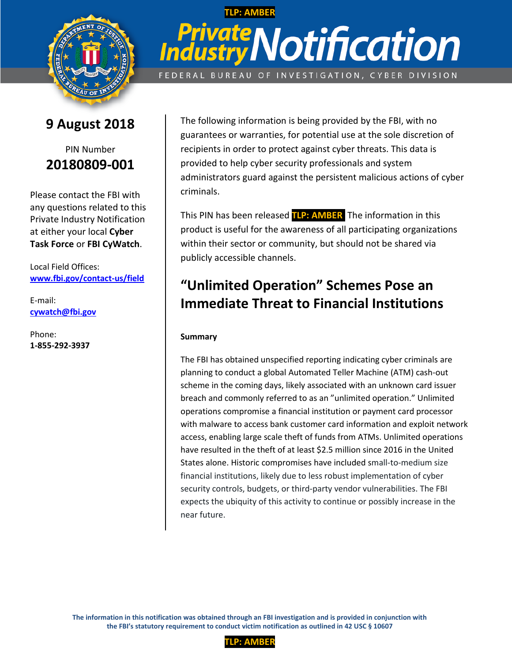

## **9 August 2018**



Please contact the FBI with any questions related to this Private Industry Notification at either your local **Cyber Task Force** or **FBI CyWatch**.

Local Field Offices: **[www.fbi.gov/contact-us/field](http://www.fbi.gov/contact-us/field)**

E-mail: **[cywatch@fbi.gov](mailto:cywatch@fbi.gov)**

Phone: **1-855-292-3937**

# **TLP: AMBER Private Notification** FEDERAL BUREAU OF INVESTIGATION, CYBER DIVISION

The following information is being provided by the FBI, with no guarantees or warranties, for potential use at the sole discretion of recipients in order to protect against cyber threats. This data is provided to help cyber security professionals and system administrators guard against the persistent malicious actions of cyber criminals.

This PIN has been released **TLP: AMBER**: The information in this product is useful for the awareness of all participating organizations within their sector or community, but should not be shared via publicly accessible channels.

### **"Unlimited Operation" Schemes Pose an Immediate Threat to Financial Institutions**

#### **Summary**

The FBI has obtained unspecified reporting indicating cyber criminals are planning to conduct a global Automated Teller Machine (ATM) cash-out scheme in the coming days, likely associated with an unknown card issuer breach and commonly referred to as an "unlimited operation." Unlimited operations compromise a financial institution or payment card processor with malware to access bank customer card information and exploit network access, enabling large scale theft of funds from ATMs. Unlimited operations have resulted in the theft of at least \$2.5 million since 2016 in the United States alone. Historic compromises have included small-to-medium size financial institutions, likely due to less robust implementation of cyber security controls, budgets, or third-party vendor vulnerabilities. The FBI expects the ubiquity of this activity to continue or possibly increase in the near future.

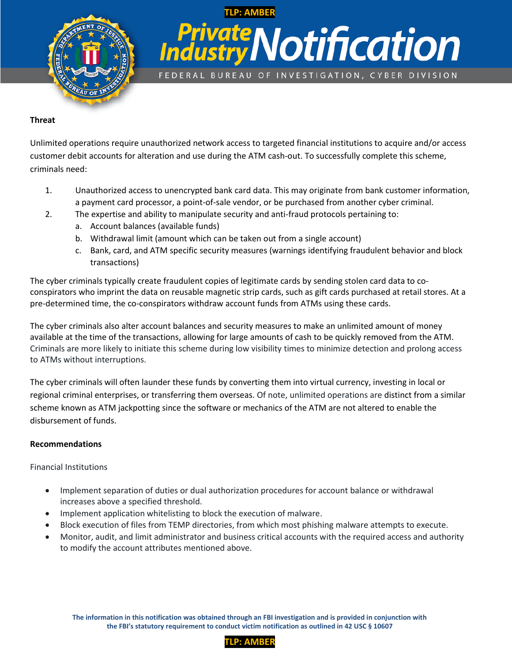

# **TLP: AMBER Private Notification** FEDERAL BUREAU OF INVESTIGATION, CYBER DIVISION

#### **Threat**

Unlimited operations require unauthorized network access to targeted financial institutions to acquire and/or access customer debit accounts for alteration and use during the ATM cash-out. To successfully complete this scheme, criminals need:

- 1. Unauthorized access to unencrypted bank card data. This may originate from bank customer information, a payment card processor, a point-of-sale vendor, or be purchased from another cyber criminal.
- 2. The expertise and ability to manipulate security and anti-fraud protocols pertaining to:
	- a. Account balances (available funds)
	- b. Withdrawal limit (amount which can be taken out from a single account)
	- c. Bank, card, and ATM specific security measures (warnings identifying fraudulent behavior and block transactions)

The cyber criminals typically create fraudulent copies of legitimate cards by sending stolen card data to coconspirators who imprint the data on reusable magnetic strip cards, such as gift cards purchased at retail stores. At a pre-determined time, the co-conspirators withdraw account funds from ATMs using these cards.

The cyber criminals also alter account balances and security measures to make an unlimited amount of money available at the time of the transactions, allowing for large amounts of cash to be quickly removed from the ATM. Criminals are more likely to initiate this scheme during low visibility times to minimize detection and prolong access to ATMs without interruptions.

The cyber criminals will often launder these funds by converting them into virtual currency, investing in local or regional criminal enterprises, or transferring them overseas. Of note, unlimited operations are distinct from a similar scheme known as ATM jackpotting since the software or mechanics of the ATM are not altered to enable the disbursement of funds.

#### **Recommendations**

Financial Institutions

- Implement separation of duties or dual authorization procedures for account balance or withdrawal increases above a specified threshold.
- Implement application whitelisting to block the execution of malware.
- Block execution of files from TEMP directories, from which most phishing malware attempts to execute.
- Monitor, audit, and limit administrator and business critical accounts with the required access and authority to modify the account attributes mentioned above.

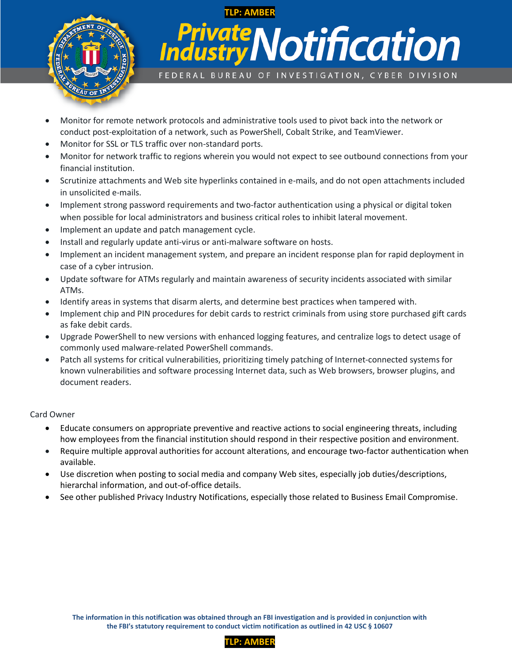

## **TLP: AMBER Private Notification** FEDERAL BUREAU OF INVESTIGATION, CYBER DIVISION

- Monitor for remote network protocols and administrative tools used to pivot back into the network or conduct post-exploitation of a network, such as PowerShell, Cobalt Strike, and TeamViewer.
- Monitor for SSL or TLS traffic over non-standard ports.
- Monitor for network traffic to regions wherein you would not expect to see outbound connections from your financial institution.
- Scrutinize attachments and Web site hyperlinks contained in e-mails, and do not open attachments included in unsolicited e-mails.
- Implement strong password requirements and two-factor authentication using a physical or digital token when possible for local administrators and business critical roles to inhibit lateral movement.
- Implement an update and patch management cycle.
- Install and regularly update anti-virus or anti-malware software on hosts.
- Implement an incident management system, and prepare an incident response plan for rapid deployment in case of a cyber intrusion.
- Update software for ATMs regularly and maintain awareness of security incidents associated with similar ATMs.
- Identify areas in systems that disarm alerts, and determine best practices when tampered with.
- Implement chip and PIN procedures for debit cards to restrict criminals from using store purchased gift cards as fake debit cards.
- Upgrade PowerShell to new versions with enhanced logging features, and centralize logs to detect usage of commonly used malware-related PowerShell commands.
- Patch all systems for critical vulnerabilities, prioritizing timely patching of Internet-connected systems for known vulnerabilities and software processing Internet data, such as Web browsers, browser plugins, and document readers.

#### Card Owner

- Educate consumers on appropriate preventive and reactive actions to social engineering threats, including how employees from the financial institution should respond in their respective position and environment.
- Require multiple approval authorities for account alterations, and encourage two-factor authentication when available.
- Use discretion when posting to social media and company Web sites, especially job duties/descriptions, hierarchal information, and out-of-office details.
- See other published Privacy Industry Notifications, especially those related to Business Email Compromise.